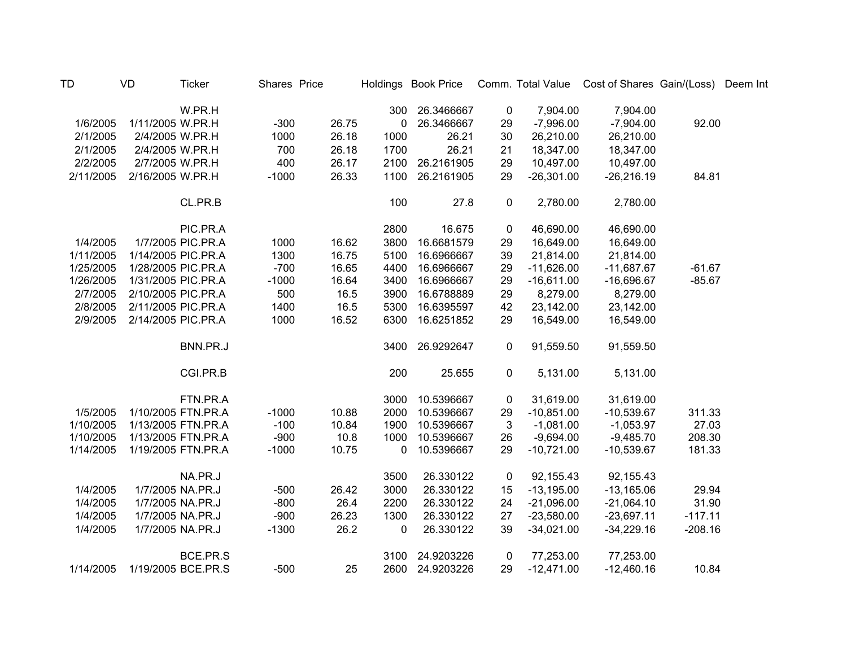| TD        | VD               | <b>Ticker</b>      | Shares Price |       |             | Holdings Book Price |    |              | Comm. Total Value  Cost of Shares Gain/(Loss)  Deem Int |           |  |
|-----------|------------------|--------------------|--------------|-------|-------------|---------------------|----|--------------|---------------------------------------------------------|-----------|--|
|           |                  | W.PR.H             |              |       | 300         | 26.3466667          | 0  | 7,904.00     | 7,904.00                                                |           |  |
| 1/6/2005  | 1/11/2005 W.PR.H |                    | $-300$       | 26.75 | 0           | 26.3466667          | 29 | $-7,996.00$  | $-7,904.00$                                             | 92.00     |  |
| 2/1/2005  | 2/4/2005 W.PR.H  |                    | 1000         | 26.18 | 1000        | 26.21               | 30 | 26,210.00    | 26,210.00                                               |           |  |
| 2/1/2005  | 2/4/2005 W.PR.H  |                    | 700          | 26.18 | 1700        | 26.21               | 21 | 18,347.00    | 18,347.00                                               |           |  |
| 2/2/2005  | 2/7/2005 W.PR.H  |                    | 400          | 26.17 | 2100        | 26.2161905          | 29 | 10,497.00    | 10,497.00                                               |           |  |
| 2/11/2005 | 2/16/2005 W.PR.H |                    | $-1000$      | 26.33 | 1100        | 26.2161905          | 29 | $-26,301.00$ | $-26,216.19$                                            | 84.81     |  |
|           |                  | CL.PR.B            |              |       | 100         | 27.8                | 0  | 2,780.00     | 2,780.00                                                |           |  |
|           |                  | PIC.PR.A           |              |       | 2800        | 16.675              | 0  | 46,690.00    | 46,690.00                                               |           |  |
| 1/4/2005  |                  | 1/7/2005 PIC.PR.A  | 1000         | 16.62 | 3800        | 16.6681579          | 29 | 16,649.00    | 16,649.00                                               |           |  |
| 1/11/2005 |                  | 1/14/2005 PIC.PR.A | 1300         | 16.75 | 5100        | 16.6966667          | 39 | 21,814.00    | 21,814.00                                               |           |  |
| 1/25/2005 |                  | 1/28/2005 PIC.PR.A | $-700$       | 16.65 | 4400        | 16.6966667          | 29 | $-11,626.00$ | $-11,687.67$                                            | $-61.67$  |  |
| 1/26/2005 |                  | 1/31/2005 PIC.PR.A | $-1000$      | 16.64 | 3400        | 16.6966667          | 29 | $-16,611.00$ | $-16,696.67$                                            | $-85.67$  |  |
| 2/7/2005  |                  | 2/10/2005 PIC.PR.A | 500          | 16.5  | 3900        | 16.6788889          | 29 | 8,279.00     | 8,279.00                                                |           |  |
| 2/8/2005  |                  | 2/11/2005 PIC.PR.A | 1400         | 16.5  | 5300        | 16.6395597          | 42 | 23,142.00    | 23,142.00                                               |           |  |
| 2/9/2005  |                  | 2/14/2005 PIC.PR.A | 1000         | 16.52 | 6300        | 16.6251852          | 29 | 16,549.00    | 16,549.00                                               |           |  |
|           |                  | BNN.PR.J           |              |       | 3400        | 26.9292647          | 0  | 91,559.50    | 91,559.50                                               |           |  |
|           |                  | CGI.PR.B           |              |       | 200         | 25.655              | 0  | 5,131.00     | 5,131.00                                                |           |  |
|           |                  | FTN.PR.A           |              |       | 3000        | 10.5396667          | 0  | 31,619.00    | 31,619.00                                               |           |  |
| 1/5/2005  |                  | 1/10/2005 FTN.PR.A | $-1000$      | 10.88 | 2000        | 10.5396667          | 29 | $-10,851.00$ | $-10,539.67$                                            | 311.33    |  |
| 1/10/2005 |                  | 1/13/2005 FTN.PR.A | $-100$       | 10.84 | 1900        | 10.5396667          | 3  | $-1,081.00$  | $-1,053.97$                                             | 27.03     |  |
| 1/10/2005 |                  | 1/13/2005 FTN.PR.A | $-900$       | 10.8  | 1000        | 10.5396667          | 26 | $-9,694.00$  | $-9,485.70$                                             | 208.30    |  |
| 1/14/2005 |                  | 1/19/2005 FTN.PR.A | $-1000$      | 10.75 | 0           | 10.5396667          | 29 | $-10,721.00$ | $-10,539.67$                                            | 181.33    |  |
|           |                  | NA.PR.J            |              |       | 3500        | 26.330122           | 0  | 92,155.43    | 92,155.43                                               |           |  |
| 1/4/2005  |                  | 1/7/2005 NA.PR.J   | $-500$       | 26.42 | 3000        | 26.330122           | 15 | $-13,195.00$ | $-13,165.06$                                            | 29.94     |  |
| 1/4/2005  |                  | 1/7/2005 NA.PR.J   | $-800$       | 26.4  | 2200        | 26.330122           | 24 | $-21,096.00$ | $-21,064.10$                                            | 31.90     |  |
| 1/4/2005  |                  | 1/7/2005 NA.PR.J   | $-900$       | 26.23 | 1300        | 26.330122           | 27 | $-23,580.00$ | $-23,697.11$                                            | $-117.11$ |  |
| 1/4/2005  |                  | 1/7/2005 NA.PR.J   | $-1300$      | 26.2  | $\mathbf 0$ | 26.330122           | 39 | $-34,021.00$ | $-34,229.16$                                            | $-208.16$ |  |
|           |                  | BCE.PR.S           |              |       | 3100        | 24.9203226          | 0  | 77,253.00    | 77,253.00                                               |           |  |
| 1/14/2005 |                  | 1/19/2005 BCE.PR.S | $-500$       | 25    | 2600        | 24.9203226          | 29 | $-12,471.00$ | $-12,460.16$                                            | 10.84     |  |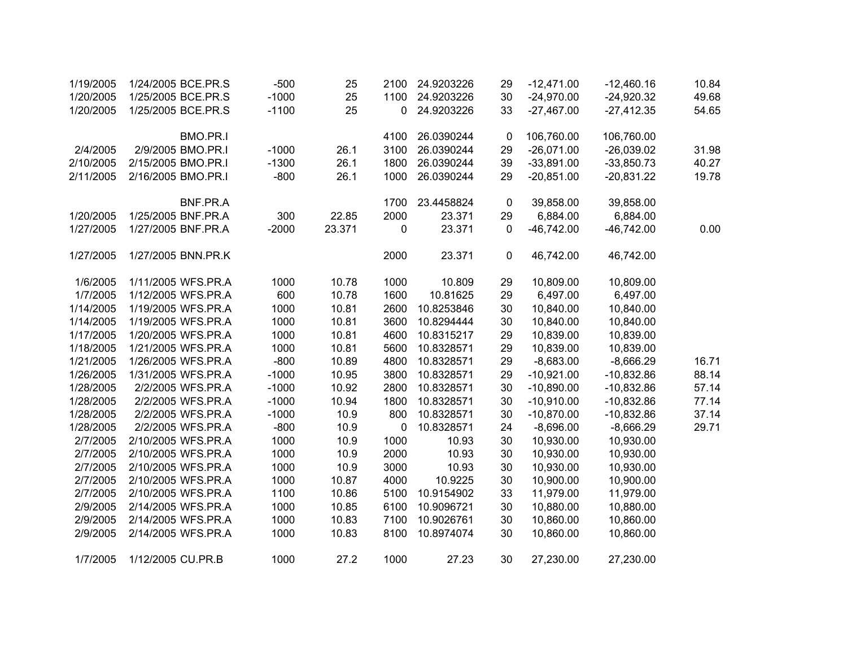| 1/19/2005 | 1/24/2005 BCE.PR.S | $-500$  | 25     | 2100 | 24.9203226 | 29          | $-12,471.00$ | $-12,460.16$ | 10.84 |
|-----------|--------------------|---------|--------|------|------------|-------------|--------------|--------------|-------|
| 1/20/2005 | 1/25/2005 BCE.PR.S | $-1000$ | 25     | 1100 | 24.9203226 | 30          | $-24,970.00$ | $-24,920.32$ | 49.68 |
| 1/20/2005 | 1/25/2005 BCE.PR.S | $-1100$ | 25     | 0    | 24.9203226 | 33          | $-27,467.00$ | $-27,412.35$ | 54.65 |
|           | BMO.PR.I           |         |        | 4100 | 26.0390244 | $\mathbf 0$ | 106,760.00   | 106,760.00   |       |
| 2/4/2005  | 2/9/2005 BMO.PR.I  | $-1000$ | 26.1   | 3100 | 26.0390244 | 29          | $-26,071.00$ | $-26,039.02$ | 31.98 |
| 2/10/2005 | 2/15/2005 BMO.PR.I | $-1300$ | 26.1   | 1800 | 26.0390244 | 39          | $-33,891.00$ | $-33,850.73$ | 40.27 |
| 2/11/2005 | 2/16/2005 BMO.PR.I | $-800$  | 26.1   | 1000 | 26.0390244 | 29          | $-20,851.00$ | $-20,831.22$ | 19.78 |
|           | BNF.PR.A           |         |        | 1700 | 23.4458824 | 0           | 39,858.00    | 39,858.00    |       |
| 1/20/2005 | 1/25/2005 BNF.PR.A | 300     | 22.85  | 2000 | 23.371     | 29          | 6,884.00     | 6,884.00     |       |
| 1/27/2005 | 1/27/2005 BNF.PR.A | $-2000$ | 23.371 | 0    | 23.371     | 0           | $-46,742.00$ | $-46,742.00$ | 0.00  |
| 1/27/2005 | 1/27/2005 BNN.PR.K |         |        | 2000 | 23.371     | $\pmb{0}$   | 46,742.00    | 46,742.00    |       |
| 1/6/2005  | 1/11/2005 WFS.PR.A | 1000    | 10.78  | 1000 | 10.809     | 29          | 10,809.00    | 10,809.00    |       |
| 1/7/2005  | 1/12/2005 WFS.PR.A | 600     | 10.78  | 1600 | 10.81625   | 29          | 6,497.00     | 6,497.00     |       |
| 1/14/2005 | 1/19/2005 WFS.PR.A | 1000    | 10.81  | 2600 | 10.8253846 | 30          | 10,840.00    | 10,840.00    |       |
| 1/14/2005 | 1/19/2005 WFS.PR.A | 1000    | 10.81  | 3600 | 10.8294444 | 30          | 10,840.00    | 10,840.00    |       |
| 1/17/2005 | 1/20/2005 WFS.PR.A | 1000    | 10.81  | 4600 | 10.8315217 | 29          | 10,839.00    | 10,839.00    |       |
| 1/18/2005 | 1/21/2005 WFS.PR.A | 1000    | 10.81  | 5600 | 10.8328571 | 29          | 10,839.00    | 10,839.00    |       |
| 1/21/2005 | 1/26/2005 WFS.PR.A | $-800$  | 10.89  | 4800 | 10.8328571 | 29          | $-8,683.00$  | $-8,666.29$  | 16.71 |
| 1/26/2005 | 1/31/2005 WFS.PR.A | $-1000$ | 10.95  | 3800 | 10.8328571 | 29          | $-10,921.00$ | $-10,832.86$ | 88.14 |
| 1/28/2005 | 2/2/2005 WFS.PR.A  | $-1000$ | 10.92  | 2800 | 10.8328571 | 30          | $-10,890.00$ | $-10,832.86$ | 57.14 |
| 1/28/2005 | 2/2/2005 WFS.PR.A  | $-1000$ | 10.94  | 1800 | 10.8328571 | 30          | $-10,910.00$ | $-10,832.86$ | 77.14 |
| 1/28/2005 | 2/2/2005 WFS.PR.A  | $-1000$ | 10.9   | 800  | 10.8328571 | 30          | $-10,870.00$ | $-10,832.86$ | 37.14 |
| 1/28/2005 | 2/2/2005 WFS.PR.A  | $-800$  | 10.9   | 0    | 10.8328571 | 24          | $-8,696.00$  | $-8,666.29$  | 29.71 |
| 2/7/2005  | 2/10/2005 WFS.PR.A | 1000    | 10.9   | 1000 | 10.93      | 30          | 10,930.00    | 10,930.00    |       |
| 2/7/2005  | 2/10/2005 WFS.PR.A | 1000    | 10.9   | 2000 | 10.93      | 30          | 10,930.00    | 10,930.00    |       |
| 2/7/2005  | 2/10/2005 WFS.PR.A | 1000    | 10.9   | 3000 | 10.93      | 30          | 10,930.00    | 10,930.00    |       |
| 2/7/2005  | 2/10/2005 WFS.PR.A | 1000    | 10.87  | 4000 | 10.9225    | 30          | 10,900.00    | 10,900.00    |       |
| 2/7/2005  | 2/10/2005 WFS.PR.A | 1100    | 10.86  | 5100 | 10.9154902 | 33          | 11,979.00    | 11,979.00    |       |
| 2/9/2005  | 2/14/2005 WFS.PR.A | 1000    | 10.85  | 6100 | 10.9096721 | 30          | 10,880.00    | 10,880.00    |       |
| 2/9/2005  | 2/14/2005 WFS.PR.A | 1000    | 10.83  | 7100 | 10.9026761 | 30          | 10,860.00    | 10,860.00    |       |
| 2/9/2005  | 2/14/2005 WFS.PR.A | 1000    | 10.83  | 8100 | 10.8974074 | 30          | 10,860.00    | 10,860.00    |       |
| 1/7/2005  | 1/12/2005 CU.PR.B  | 1000    | 27.2   | 1000 | 27.23      | 30          | 27,230.00    | 27,230.00    |       |